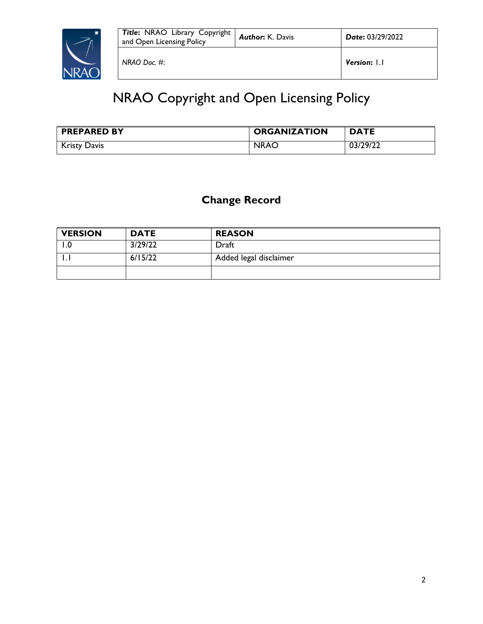

# NRAO Copyright and Open Licensing Policy

| <b>PREPARED BY</b>  | <b>ORGANIZATION</b> | <b>DATE</b> |
|---------------------|---------------------|-------------|
| <b>Kristy Davis</b> | <b>NRAO</b>         | 03/29/22    |

# **Change Record**

| <b>VERSION</b> | <b>DATE</b> | <b>REASON</b>          |
|----------------|-------------|------------------------|
| 0. ا           | 3/29/22     | Draft                  |
| . .            | 6/15/22     | Added legal disclaimer |
|                |             |                        |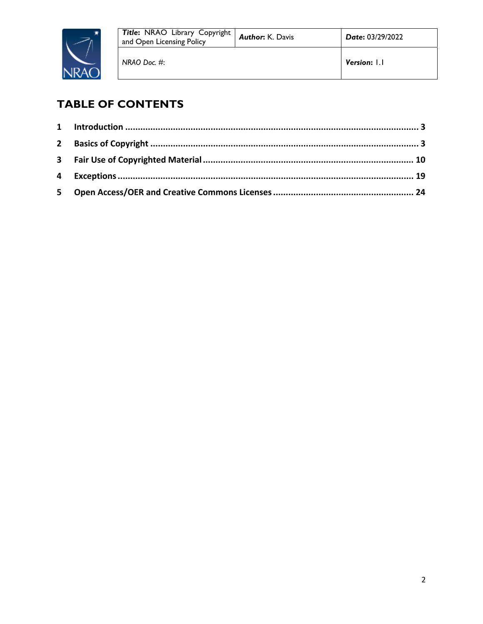

# **TABLE OF CONTENTS**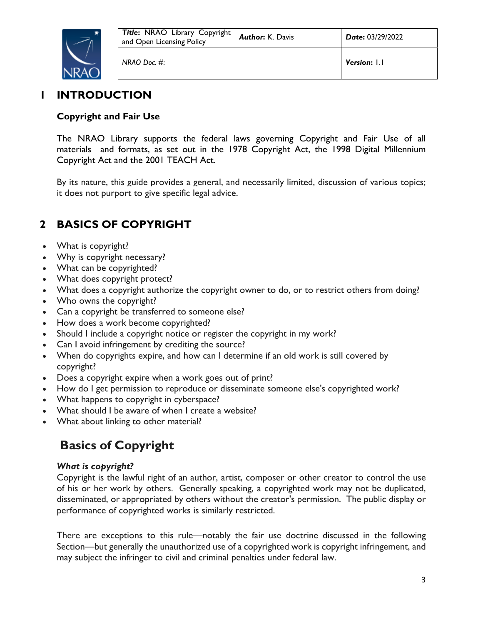

### **1 INTRODUCTION**

### **Copyright and Fair Use**

The NRAO Library supports the federal laws governing Copyright and Fair Use of all materials and formats, as set out in the 1978 Copyright Act, the 1998 Digital Millennium Copyright Act and the 2001 TEACH Act.

By its nature, this guide provides a general, and necessarily limited, discussion of various topics; it does not purport to give specific legal advice.

# **2 BASICS OF COPYRIGHT**

- What is copyright?
- Why is copyright necessary?
- What can be copyrighted?
- What does copyright protect?
- What does a copyright authorize the copyright owner to do, or to restrict others from doing?
- Who owns the copyright?
- Can a copyright be transferred to someone else?
- How does a work become copyrighted?
- Should I include a copyright notice or register the copyright in my work?
- Can I avoid infringement by crediting the source?
- When do copyrights expire, and how can I determine if an old work is still covered by copyright?
- Does a copyright expire when a work goes out of print?
- How do I get permission to reproduce or disseminate someone else's copyrighted work?
- What happens to copyright in cyberspace?
- What should I be aware of when I create a website?
- What about linking to other material?

# **Basics of Copyright**

### *What is copyright?*

Copyright is the lawful right of an author, artist, composer or other creator to control the use of his or her work by others. Generally speaking, a copyrighted work may not be duplicated, disseminated, or appropriated by others without the creator's permission. The public display or performance of copyrighted works is similarly restricted.

There are exceptions to this rule—notably the fair use doctrine discussed in the following Section—but generally the unauthorized use of a copyrighted work is copyright infringement, and may subject the infringer to civil and criminal penalties under federal law.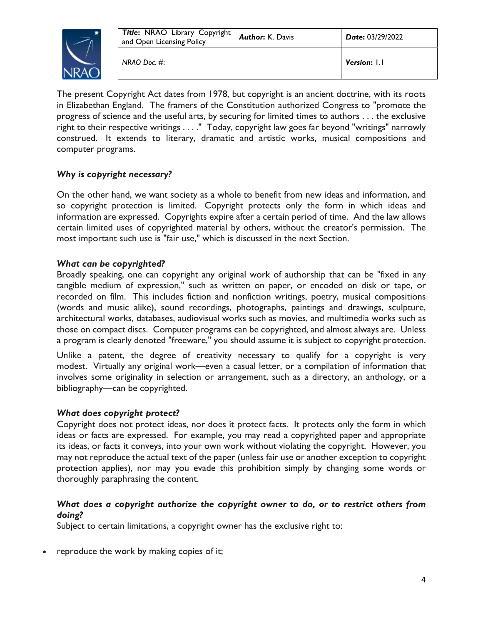

The present Copyright Act dates from 1978, but copyright is an ancient doctrine, with its roots in Elizabethan England. The framers of the Constitution authorized Congress to "promote the progress of science and the useful arts, by securing for limited times to authors . . . the exclusive right to their respective writings . . . ." Today, copyright law goes far beyond "writings" narrowly construed. It extends to literary, dramatic and artistic works, musical compositions and computer programs.

### *Why is copyright necessary?*

On the other hand, we want society as a whole to benefit from new ideas and information, and so copyright protection is limited. Copyright protects only the form in which ideas and information are expressed. Copyrights expire after a certain period of time. And the law allows certain limited uses of copyrighted material by others, without the creator's permission. The most important such use is "fair use," which is discussed in the next Section.

### *What can be copyrighted?*

Broadly speaking, one can copyright any original work of authorship that can be "fixed in any tangible medium of expression," such as written on paper, or encoded on disk or tape, or recorded on film. This includes fiction and nonfiction writings, poetry, musical compositions (words and music alike), sound recordings, photographs, paintings and drawings, sculpture, architectural works, databases, audiovisual works such as movies, and multimedia works such as those on compact discs. Computer programs can be copyrighted, and almost always are. Unless a program is clearly denoted "freeware," you should assume it is subject to copyright protection.

Unlike a patent, the degree of creativity necessary to qualify for a copyright is very modest. Virtually any original work—even a casual letter, or a compilation of information that involves some originality in selection or arrangement, such as a directory, an anthology, or a bibliography—can be copyrighted.

### *What does copyright protect?*

Copyright does not protect ideas, nor does it protect facts. It protects only the form in which ideas or facts are expressed. For example, you may read a copyrighted paper and appropriate its ideas, or facts it conveys, into your own work without violating the copyright. However, you may not reproduce the actual text of the paper (unless fair use or another exception to copyright protection applies), nor may you evade this prohibition simply by changing some words or thoroughly paraphrasing the content.

### *What does a copyright authorize the copyright owner to do, or to restrict others from doing?*

Subject to certain limitations, a copyright owner has the exclusive right to:

reproduce the work by making copies of it;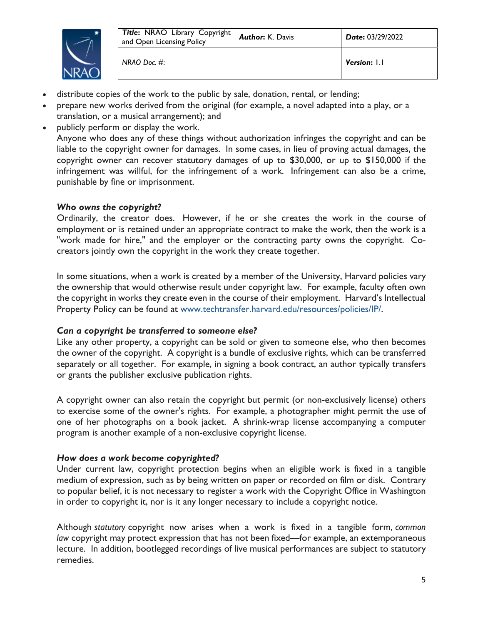

- distribute copies of the work to the public by sale, donation, rental, or lending;
- prepare new works derived from the original (for example, a novel adapted into a play, or a translation, or a musical arrangement); and
- publicly perform or display the work. Anyone who does any of these things without authorization infringes the copyright and can be liable to the copyright owner for damages. In some cases, in lieu of proving actual damages, the copyright owner can recover statutory damages of up to \$30,000, or up to \$150,000 if the infringement was willful, for the infringement of a work. Infringement can also be a crime, punishable by fine or imprisonment.

### *Who owns the copyright?*

Ordinarily, the creator does. However, if he or she creates the work in the course of employment or is retained under an appropriate contract to make the work, then the work is a "work made for hire," and the employer or the contracting party owns the copyright. Cocreators jointly own the copyright in the work they create together.

In some situations, when a work is created by a member of the University, Harvard policies vary the ownership that would otherwise result under copyright law. For example, faculty often own the copyright in works they create even in the course of their employment. Harvard's Intellectual Property Policy can be found at www.techtransfer.harvard.edu/resources/policies/IP/.

### *Can a copyright be transferred to someone else?*

Like any other property, a copyright can be sold or given to someone else, who then becomes the owner of the copyright. A copyright is a bundle of exclusive rights, which can be transferred separately or all together. For example, in signing a book contract, an author typically transfers or grants the publisher exclusive publication rights.

A copyright owner can also retain the copyright but permit (or non-exclusively license) others to exercise some of the owner's rights. For example, a photographer might permit the use of one of her photographs on a book jacket. A shrink-wrap license accompanying a computer program is another example of a non-exclusive copyright license.

### *How does a work become copyrighted?*

Under current law, copyright protection begins when an eligible work is fixed in a tangible medium of expression, such as by being written on paper or recorded on film or disk. Contrary to popular belief, it is not necessary to register a work with the Copyright Office in Washington in order to copyright it, nor is it any longer necessary to include a copyright notice.

Although *statutory* copyright now arises when a work is fixed in a tangible form, *common law* copyright may protect expression that has not been fixed—for example, an extemporaneous lecture. In addition, bootlegged recordings of live musical performances are subject to statutory remedies.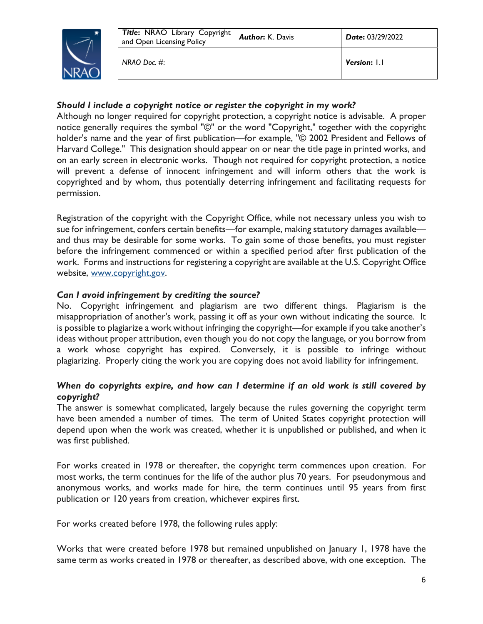

### *Should I include a copyright notice or register the copyright in my work?*

Although no longer required for copyright protection, a copyright notice is advisable. A proper notice generally requires the symbol "©" or the word "Copyright," together with the copyright holder's name and the year of first publication—for example, "© 2002 President and Fellows of Harvard College." This designation should appear on or near the title page in printed works, and on an early screen in electronic works. Though not required for copyright protection, a notice will prevent a defense of innocent infringement and will inform others that the work is copyrighted and by whom, thus potentially deterring infringement and facilitating requests for permission.

Registration of the copyright with the Copyright Office, while not necessary unless you wish to sue for infringement, confers certain benefits—for example, making statutory damages available and thus may be desirable for some works. To gain some of those benefits, you must register before the infringement commenced or within a specified period after first publication of the work. Forms and instructions for registering a copyright are available at the U.S. Copyright Office website, www.copyright.gov.

### *Can I avoid infringement by crediting the source?*

No. Copyright infringement and plagiarism are two different things. Plagiarism is the misappropriation of another's work, passing it off as your own without indicating the source. It is possible to plagiarize a work without infringing the copyright—for example if you take another's ideas without proper attribution, even though you do not copy the language, or you borrow from a work whose copyright has expired. Conversely, it is possible to infringe without plagiarizing. Properly citing the work you are copying does not avoid liability for infringement.

### *When do copyrights expire, and how can I determine if an old work is still covered by copyright?*

The answer is somewhat complicated, largely because the rules governing the copyright term have been amended a number of times. The term of United States copyright protection will depend upon when the work was created, whether it is unpublished or published, and when it was first published.

For works created in 1978 or thereafter, the copyright term commences upon creation. For most works, the term continues for the life of the author plus 70 years. For pseudonymous and anonymous works, and works made for hire, the term continues until 95 years from first publication or 120 years from creation, whichever expires first.

For works created before 1978, the following rules apply:

Works that were created before 1978 but remained unpublished on January 1, 1978 have the same term as works created in 1978 or thereafter, as described above, with one exception. The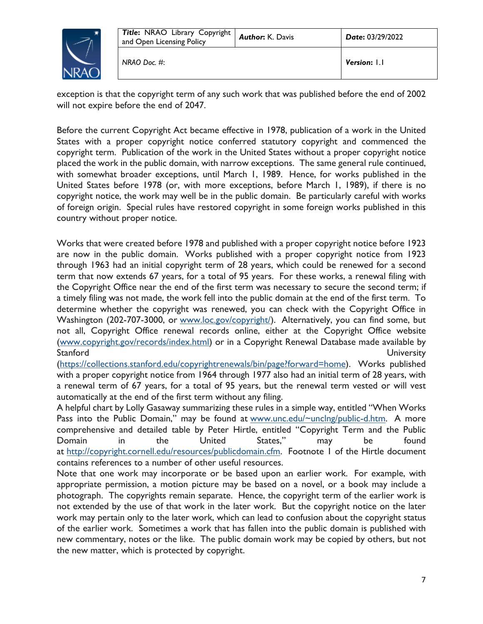

exception is that the copyright term of any such work that was published before the end of 2002 will not expire before the end of 2047.

Before the current Copyright Act became effective in 1978, publication of a work in the United States with a proper copyright notice conferred statutory copyright and commenced the copyright term. Publication of the work in the United States without a proper copyright notice placed the work in the public domain, with narrow exceptions. The same general rule continued, with somewhat broader exceptions, until March 1, 1989. Hence, for works published in the United States before 1978 (or, with more exceptions, before March 1, 1989), if there is no copyright notice, the work may well be in the public domain. Be particularly careful with works of foreign origin. Special rules have restored copyright in some foreign works published in this country without proper notice.

Works that were created before 1978 and published with a proper copyright notice before 1923 are now in the public domain. Works published with a proper copyright notice from 1923 through 1963 had an initial copyright term of 28 years, which could be renewed for a second term that now extends 67 years, for a total of 95 years. For these works, a renewal filing with the Copyright Office near the end of the first term was necessary to secure the second term; if a timely filing was not made, the work fell into the public domain at the end of the first term. To determine whether the copyright was renewed, you can check with the Copyright Office in Washington (202-707-3000, or www.loc.gov/copyright/). Alternatively, you can find some, but not all, Copyright Office renewal records online, either at the Copyright Office website (www.copyright.gov/records/index.html) or in a Copyright Renewal Database made available by Stanford University

(https://collections.stanford.edu/copyrightrenewals/bin/page?forward=home). Works published with a proper copyright notice from 1964 through 1977 also had an initial term of 28 years, with a renewal term of 67 years, for a total of 95 years, but the renewal term vested or will vest automatically at the end of the first term without any filing.

A helpful chart by Lolly Gasaway summarizing these rules in a simple way, entitled "When Works Pass into the Public Domain," may be found at www.unc.edu/~unclng/public-d.htm. A more comprehensive and detailed table by Peter Hirtle, entitled "Copyright Term and the Public Domain in the United States," may be found at http://copyright.cornell.edu/resources/publicdomain.cfm. Footnote 1 of the Hirtle document contains references to a number of other useful resources.

Note that one work may incorporate or be based upon an earlier work. For example, with appropriate permission, a motion picture may be based on a novel, or a book may include a photograph. The copyrights remain separate. Hence, the copyright term of the earlier work is not extended by the use of that work in the later work. But the copyright notice on the later work may pertain only to the later work, which can lead to confusion about the copyright status of the earlier work. Sometimes a work that has fallen into the public domain is published with new commentary, notes or the like. The public domain work may be copied by others, but not the new matter, which is protected by copyright.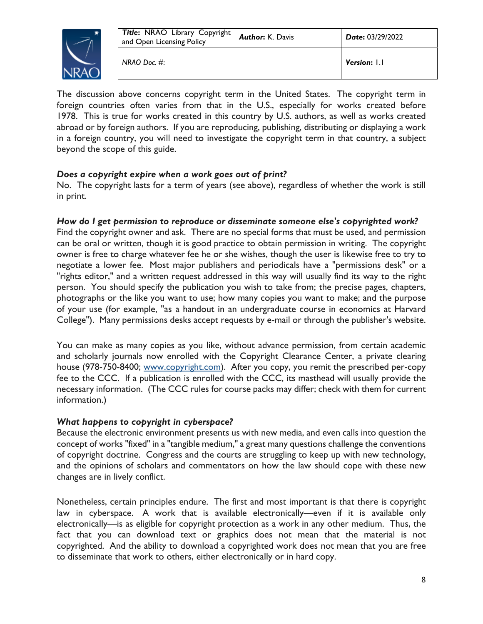

The discussion above concerns copyright term in the United States. The copyright term in foreign countries often varies from that in the U.S., especially for works created before 1978. This is true for works created in this country by U.S. authors, as well as works created abroad or by foreign authors. If you are reproducing, publishing, distributing or displaying a work in a foreign country, you will need to investigate the copyright term in that country, a subject beyond the scope of this guide.

### *Does a copyright expire when a work goes out of print?*

No. The copyright lasts for a term of years (see above), regardless of whether the work is still in print.

### *How do I get permission to reproduce or disseminate someone else's copyrighted work?*

Find the copyright owner and ask. There are no special forms that must be used, and permission can be oral or written, though it is good practice to obtain permission in writing. The copyright owner is free to charge whatever fee he or she wishes, though the user is likewise free to try to negotiate a lower fee. Most major publishers and periodicals have a "permissions desk" or a "rights editor," and a written request addressed in this way will usually find its way to the right person. You should specify the publication you wish to take from; the precise pages, chapters, photographs or the like you want to use; how many copies you want to make; and the purpose of your use (for example, "as a handout in an undergraduate course in economics at Harvard College"). Many permissions desks accept requests by e-mail or through the publisher's website.

You can make as many copies as you like, without advance permission, from certain academic and scholarly journals now enrolled with the Copyright Clearance Center, a private clearing house (978-750-8400; www.copyright.com). After you copy, you remit the prescribed per-copy fee to the CCC. If a publication is enrolled with the CCC, its masthead will usually provide the necessary information. (The CCC rules for course packs may differ; check with them for current information.)

### *What happens to copyright in cyberspace?*

Because the electronic environment presents us with new media, and even calls into question the concept of works "fixed" in a "tangible medium," a great many questions challenge the conventions of copyright doctrine. Congress and the courts are struggling to keep up with new technology, and the opinions of scholars and commentators on how the law should cope with these new changes are in lively conflict.

Nonetheless, certain principles endure. The first and most important is that there is copyright law in cyberspace. A work that is available electronically—even if it is available only electronically—is as eligible for copyright protection as a work in any other medium. Thus, the fact that you can download text or graphics does not mean that the material is not copyrighted. And the ability to download a copyrighted work does not mean that you are free to disseminate that work to others, either electronically or in hard copy.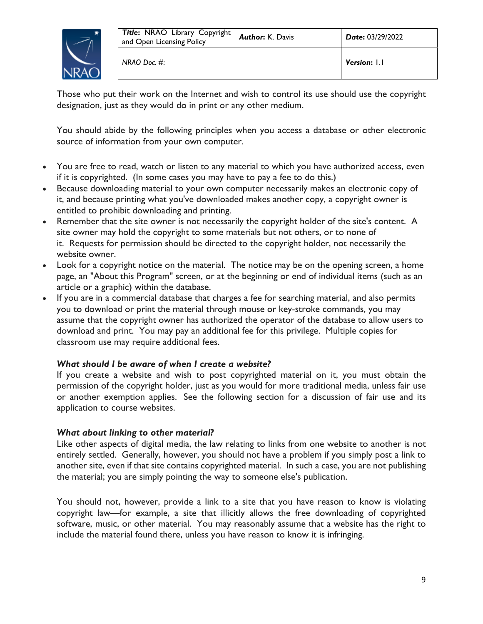

Those who put their work on the Internet and wish to control its use should use the copyright designation, just as they would do in print or any other medium.

You should abide by the following principles when you access a database or other electronic source of information from your own computer.

- You are free to read, watch or listen to any material to which you have authorized access, even if it is copyrighted. (In some cases you may have to pay a fee to do this.)
- Because downloading material to your own computer necessarily makes an electronic copy of it, and because printing what you've downloaded makes another copy, a copyright owner is entitled to prohibit downloading and printing.
- Remember that the site owner is not necessarily the copyright holder of the site's content. A site owner may hold the copyright to some materials but not others, or to none of it. Requests for permission should be directed to the copyright holder, not necessarily the website owner.
- Look for a copyright notice on the material. The notice may be on the opening screen, a home page, an "About this Program" screen, or at the beginning or end of individual items (such as an article or a graphic) within the database.
- If you are in a commercial database that charges a fee for searching material, and also permits you to download or print the material through mouse or key-stroke commands, you may assume that the copyright owner has authorized the operator of the database to allow users to download and print. You may pay an additional fee for this privilege. Multiple copies for classroom use may require additional fees.

### *What should I be aware of when I create a website?*

If you create a website and wish to post copyrighted material on it, you must obtain the permission of the copyright holder, just as you would for more traditional media, unless fair use or another exemption applies. See the following section for a discussion of fair use and its application to course websites.

### *What about linking to other material?*

Like other aspects of digital media, the law relating to links from one website to another is not entirely settled. Generally, however, you should not have a problem if you simply post a link to another site, even if that site contains copyrighted material. In such a case, you are not publishing the material; you are simply pointing the way to someone else's publication.

You should not, however, provide a link to a site that you have reason to know is violating copyright law—for example, a site that illicitly allows the free downloading of copyrighted software, music, or other material. You may reasonably assume that a website has the right to include the material found there, unless you have reason to know it is infringing.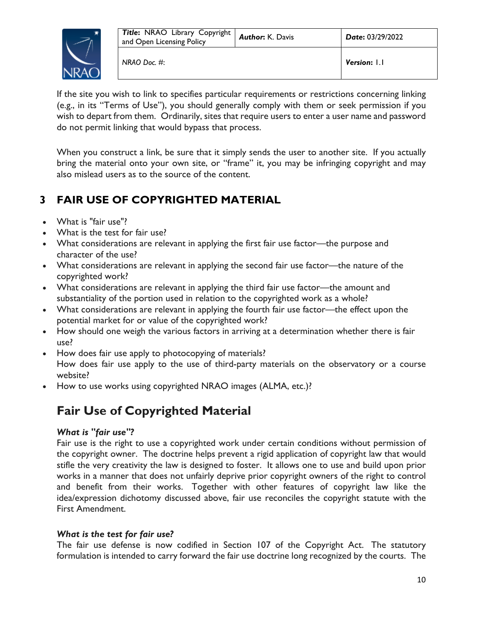

If the site you wish to link to specifies particular requirements or restrictions concerning linking (e.g., in its "Terms of Use"), you should generally comply with them or seek permission if you wish to depart from them. Ordinarily, sites that require users to enter a user name and password do not permit linking that would bypass that process.

When you construct a link, be sure that it simply sends the user to another site. If you actually bring the material onto your own site, or "frame" it, you may be infringing copyright and may also mislead users as to the source of the content.

# **3 FAIR USE OF COPYRIGHTED MATERIAL**

- What is "fair use"?
- What is the test for fair use?
- What considerations are relevant in applying the first fair use factor—the purpose and character of the use?
- What considerations are relevant in applying the second fair use factor—the nature of the copyrighted work?
- What considerations are relevant in applying the third fair use factor—the amount and substantiality of the portion used in relation to the copyrighted work as a whole?
- What considerations are relevant in applying the fourth fair use factor—the effect upon the potential market for or value of the copyrighted work?
- How should one weigh the various factors in arriving at a determination whether there is fair use?
- How does fair use apply to photocopying of materials? How does fair use apply to the use of third-party materials on the observatory or a course website?
- How to use works using copyrighted NRAO images (ALMA, etc.)?

# **Fair Use of Copyrighted Material**

### *What is "fair use"?*

Fair use is the right to use a copyrighted work under certain conditions without permission of the copyright owner. The doctrine helps prevent a rigid application of copyright law that would stifle the very creativity the law is designed to foster. It allows one to use and build upon prior works in a manner that does not unfairly deprive prior copyright owners of the right to control and benefit from their works. Together with other features of copyright law like the idea/expression dichotomy discussed above, fair use reconciles the copyright statute with the First Amendment.

### *What is the test for fair use?*

The fair use defense is now codified in Section 107 of the Copyright Act. The statutory formulation is intended to carry forward the fair use doctrine long recognized by the courts. The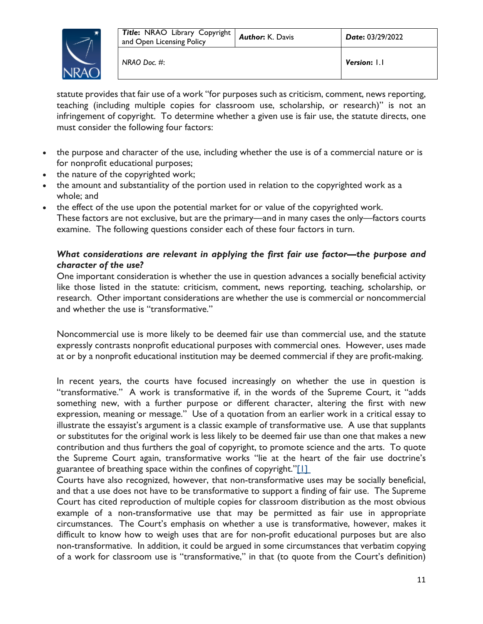

statute provides that fair use of a work "for purposes such as criticism, comment, news reporting, teaching (including multiple copies for classroom use, scholarship, or research)" is not an infringement of copyright. To determine whether a given use is fair use, the statute directs, one must consider the following four factors:

- the purpose and character of the use, including whether the use is of a commercial nature or is for nonprofit educational purposes;
- the nature of the copyrighted work;
- the amount and substantiality of the portion used in relation to the copyrighted work as a whole; and
- the effect of the use upon the potential market for or value of the copyrighted work. These factors are not exclusive, but are the primary—and in many cases the only—factors courts examine. The following questions consider each of these four factors in turn.

### *What considerations are relevant in applying the first fair use factor—the purpose and character of the use?*

One important consideration is whether the use in question advances a socially beneficial activity like those listed in the statute: criticism, comment, news reporting, teaching, scholarship, or research. Other important considerations are whether the use is commercial or noncommercial and whether the use is "transformative."

Noncommercial use is more likely to be deemed fair use than commercial use, and the statute expressly contrasts nonprofit educational purposes with commercial ones. However, uses made at or by a nonprofit educational institution may be deemed commercial if they are profit-making.

In recent years, the courts have focused increasingly on whether the use in question is "transformative." A work is transformative if, in the words of the Supreme Court, it "adds something new, with a further purpose or different character, altering the first with new expression, meaning or message." Use of a quotation from an earlier work in a critical essay to illustrate the essayist's argument is a classic example of transformative use. A use that supplants or substitutes for the original work is less likely to be deemed fair use than one that makes a new contribution and thus furthers the goal of copyright, to promote science and the arts. To quote the Supreme Court again, transformative works "lie at the heart of the fair use doctrine's guarantee of breathing space within the confines of copyright."[1]

Courts have also recognized, however, that non-transformative uses may be socially beneficial, and that a use does not have to be transformative to support a finding of fair use. The Supreme Court has cited reproduction of multiple copies for classroom distribution as the most obvious example of a non-transformative use that may be permitted as fair use in appropriate circumstances. The Court's emphasis on whether a use is transformative, however, makes it difficult to know how to weigh uses that are for non-profit educational purposes but are also non-transformative. In addition, it could be argued in some circumstances that verbatim copying of a work for classroom use is "transformative," in that (to quote from the Court's definition)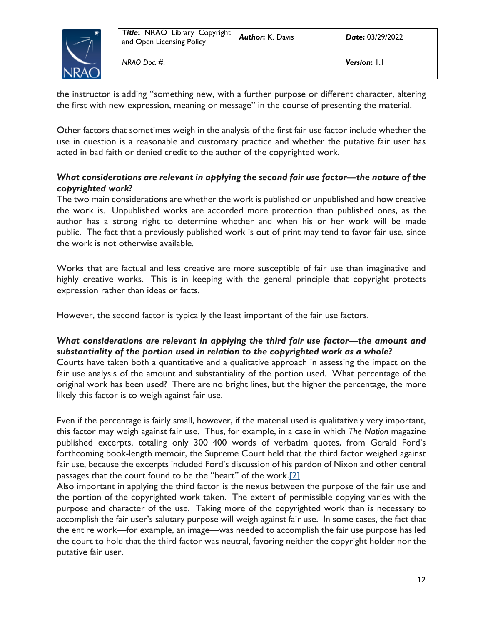

the instructor is adding "something new, with a further purpose or different character, altering the first with new expression, meaning or message" in the course of presenting the material.

Other factors that sometimes weigh in the analysis of the first fair use factor include whether the use in question is a reasonable and customary practice and whether the putative fair user has acted in bad faith or denied credit to the author of the copyrighted work.

### *What considerations are relevant in applying the second fair use factor—the nature of the copyrighted work?*

The two main considerations are whether the work is published or unpublished and how creative the work is. Unpublished works are accorded more protection than published ones, as the author has a strong right to determine whether and when his or her work will be made public. The fact that a previously published work is out of print may tend to favor fair use, since the work is not otherwise available.

Works that are factual and less creative are more susceptible of fair use than imaginative and highly creative works. This is in keeping with the general principle that copyright protects expression rather than ideas or facts.

However, the second factor is typically the least important of the fair use factors.

### *What considerations are relevant in applying the third fair use factor—the amount and substantiality of the portion used in relation to the copyrighted work as a whole?*

Courts have taken both a quantitative and a qualitative approach in assessing the impact on the fair use analysis of the amount and substantiality of the portion used. What percentage of the original work has been used? There are no bright lines, but the higher the percentage, the more likely this factor is to weigh against fair use.

Even if the percentage is fairly small, however, if the material used is qualitatively very important, this factor may weigh against fair use. Thus, for example, in a case in which *The Nation* magazine published excerpts, totaling only 300–400 words of verbatim quotes, from Gerald Ford's forthcoming book-length memoir, the Supreme Court held that the third factor weighed against fair use, because the excerpts included Ford's discussion of his pardon of Nixon and other central passages that the court found to be the "heart" of the work.[2]

Also important in applying the third factor is the nexus between the purpose of the fair use and the portion of the copyrighted work taken. The extent of permissible copying varies with the purpose and character of the use. Taking more of the copyrighted work than is necessary to accomplish the fair user's salutary purpose will weigh against fair use. In some cases, the fact that the entire work—for example, an image—was needed to accomplish the fair use purpose has led the court to hold that the third factor was neutral, favoring neither the copyright holder nor the putative fair user.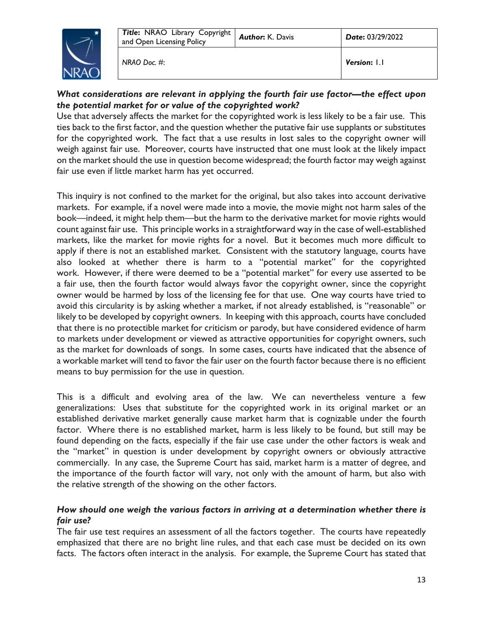

*NRAO Doc. #*: *Version***:** 1.1

### *What considerations are relevant in applying the fourth fair use factor—the effect upon the potential market for or value of the copyrighted work?*

Use that adversely affects the market for the copyrighted work is less likely to be a fair use. This ties back to the first factor, and the question whether the putative fair use supplants or substitutes for the copyrighted work. The fact that a use results in lost sales to the copyright owner will weigh against fair use. Moreover, courts have instructed that one must look at the likely impact on the market should the use in question become widespread; the fourth factor may weigh against fair use even if little market harm has yet occurred.

This inquiry is not confined to the market for the original, but also takes into account derivative markets. For example, if a novel were made into a movie, the movie might not harm sales of the book—indeed, it might help them—but the harm to the derivative market for movie rights would count against fair use. This principle works in a straightforward way in the case of well-established markets, like the market for movie rights for a novel. But it becomes much more difficult to apply if there is not an established market. Consistent with the statutory language, courts have also looked at whether there is harm to a "potential market" for the copyrighted work. However, if there were deemed to be a "potential market" for every use asserted to be a fair use, then the fourth factor would always favor the copyright owner, since the copyright owner would be harmed by loss of the licensing fee for that use. One way courts have tried to avoid this circularity is by asking whether a market, if not already established, is "reasonable" or likely to be developed by copyright owners. In keeping with this approach, courts have concluded that there is no protectible market for criticism or parody, but have considered evidence of harm to markets under development or viewed as attractive opportunities for copyright owners, such as the market for downloads of songs. In some cases, courts have indicated that the absence of a workable market will tend to favor the fair user on the fourth factor because there is no efficient means to buy permission for the use in question.

This is a difficult and evolving area of the law. We can nevertheless venture a few generalizations: Uses that substitute for the copyrighted work in its original market or an established derivative market generally cause market harm that is cognizable under the fourth factor. Where there is no established market, harm is less likely to be found, but still may be found depending on the facts, especially if the fair use case under the other factors is weak and the "market" in question is under development by copyright owners or obviously attractive commercially. In any case, the Supreme Court has said, market harm is a matter of degree, and the importance of the fourth factor will vary, not only with the amount of harm, but also with the relative strength of the showing on the other factors.

### *How should one weigh the various factors in arriving at a determination whether there is fair use?*

The fair use test requires an assessment of all the factors together. The courts have repeatedly emphasized that there are no bright line rules, and that each case must be decided on its own facts. The factors often interact in the analysis. For example, the Supreme Court has stated that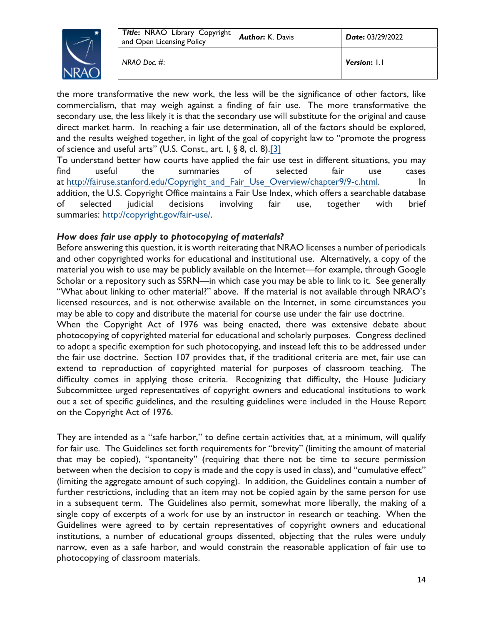

the more transformative the new work, the less will be the significance of other factors, like commercialism, that may weigh against a finding of fair use. The more transformative the secondary use, the less likely it is that the secondary use will substitute for the original and cause direct market harm. In reaching a fair use determination, all of the factors should be explored, and the results weighed together, in light of the goal of copyright law to "promote the progress of science and useful arts" (U.S. Const., art. I, § 8, cl. 8).<sup>[3]</sup>

To understand better how courts have applied the fair use test in different situations, you may find useful the summaries of selected fair use cases at http://fairuse.stanford.edu/Copyright\_and\_Fair\_Use\_Overview/chapter9/9-c.html. In addition, the U.S. Copyright Office maintains a Fair Use Index, which offers a searchable database of selected judicial decisions involving fair use, together with brief summaries: http://copyright.gov/fair-use/.

### *How does fair use apply to photocopying of materials?*

Before answering this question, it is worth reiterating that NRAO licenses a number of periodicals and other copyrighted works for educational and institutional use. Alternatively, a copy of the material you wish to use may be publicly available on the Internet—for example, through Google Scholar or a repository such as SSRN—in which case you may be able to link to it. See generally "What about linking to other material?" above. If the material is not available through NRAO's licensed resources, and is not otherwise available on the Internet, in some circumstances you may be able to copy and distribute the material for course use under the fair use doctrine.

When the Copyright Act of 1976 was being enacted, there was extensive debate about photocopying of copyrighted material for educational and scholarly purposes. Congress declined to adopt a specific exemption for such photocopying, and instead left this to be addressed under the fair use doctrine. Section 107 provides that, if the traditional criteria are met, fair use can extend to reproduction of copyrighted material for purposes of classroom teaching. The difficulty comes in applying those criteria. Recognizing that difficulty, the House Judiciary Subcommittee urged representatives of copyright owners and educational institutions to work out a set of specific guidelines, and the resulting guidelines were included in the House Report on the Copyright Act of 1976.

They are intended as a "safe harbor," to define certain activities that, at a minimum, will qualify for fair use. The Guidelines set forth requirements for "brevity" (limiting the amount of material that may be copied), "spontaneity" (requiring that there not be time to secure permission between when the decision to copy is made and the copy is used in class), and "cumulative effect" (limiting the aggregate amount of such copying). In addition, the Guidelines contain a number of further restrictions, including that an item may not be copied again by the same person for use in a subsequent term. The Guidelines also permit, somewhat more liberally, the making of a single copy of excerpts of a work for use by an instructor in research or teaching. When the Guidelines were agreed to by certain representatives of copyright owners and educational institutions, a number of educational groups dissented, objecting that the rules were unduly narrow, even as a safe harbor, and would constrain the reasonable application of fair use to photocopying of classroom materials.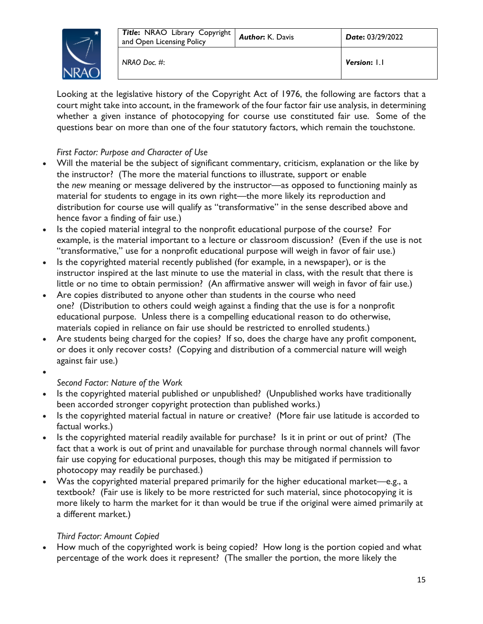

Looking at the legislative history of the Copyright Act of 1976, the following are factors that a court might take into account, in the framework of the four factor fair use analysis, in determining whether a given instance of photocopying for course use constituted fair use. Some of the questions bear on more than one of the four statutory factors, which remain the touchstone.

### *First Factor: Purpose and Character of Use*

- Will the material be the subject of significant commentary, criticism, explanation or the like by the instructor? (The more the material functions to illustrate, support or enable the *new* meaning or message delivered by the instructor—as opposed to functioning mainly as material for students to engage in its own right—the more likely its reproduction and distribution for course use will qualify as "transformative" in the sense described above and hence favor a finding of fair use.)
- Is the copied material integral to the nonprofit educational purpose of the course? For example, is the material important to a lecture or classroom discussion? (Even if the use is not "transformative," use for a nonprofit educational purpose will weigh in favor of fair use.)
- Is the copyrighted material recently published (for example, in a newspaper), or is the instructor inspired at the last minute to use the material in class, with the result that there is little or no time to obtain permission? (An affirmative answer will weigh in favor of fair use.)
- Are copies distributed to anyone other than students in the course who need one? (Distribution to others could weigh against a finding that the use is for a nonprofit educational purpose. Unless there is a compelling educational reason to do otherwise, materials copied in reliance on fair use should be restricted to enrolled students.)
- Are students being charged for the copies? If so, does the charge have any profit component, or does it only recover costs? (Copying and distribution of a commercial nature will weigh against fair use.)
- $\bullet$

### *Second Factor: Nature of the Work*

- Is the copyrighted material published or unpublished? (Unpublished works have traditionally been accorded stronger copyright protection than published works.)
- Is the copyrighted material factual in nature or creative? (More fair use latitude is accorded to factual works.)
- Is the copyrighted material readily available for purchase? Is it in print or out of print? (The fact that a work is out of print and unavailable for purchase through normal channels will favor fair use copying for educational purposes, though this may be mitigated if permission to photocopy may readily be purchased.)
- Was the copyrighted material prepared primarily for the higher educational market—e.g., a textbook? (Fair use is likely to be more restricted for such material, since photocopying it is more likely to harm the market for it than would be true if the original were aimed primarily at a different market.)

### *Third Factor: Amount Copied*

 How much of the copyrighted work is being copied? How long is the portion copied and what percentage of the work does it represent? (The smaller the portion, the more likely the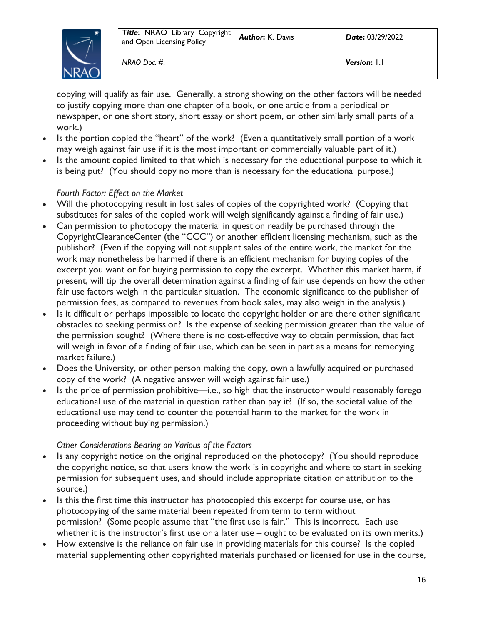

*NRAO Doc. #*: *Version***:** 1.1

copying will qualify as fair use. Generally, a strong showing on the other factors will be needed to justify copying more than one chapter of a book, or one article from a periodical or newspaper, or one short story, short essay or short poem, or other similarly small parts of a work.)

- Is the portion copied the "heart" of the work? (Even a quantitatively small portion of a work may weigh against fair use if it is the most important or commercially valuable part of it.)
- Is the amount copied limited to that which is necessary for the educational purpose to which it is being put? (You should copy no more than is necessary for the educational purpose.)

### *Fourth Factor: Effect on the Market*

- Will the photocopying result in lost sales of copies of the copyrighted work? (Copying that substitutes for sales of the copied work will weigh significantly against a finding of fair use.)
- Can permission to photocopy the material in question readily be purchased through the CopyrightClearanceCenter (the "CCC") or another efficient licensing mechanism, such as the publisher? (Even if the copying will not supplant sales of the entire work, the market for the work may nonetheless be harmed if there is an efficient mechanism for buying copies of the excerpt you want or for buying permission to copy the excerpt. Whether this market harm, if present, will tip the overall determination against a finding of fair use depends on how the other fair use factors weigh in the particular situation. The economic significance to the publisher of permission fees, as compared to revenues from book sales, may also weigh in the analysis.)
- Is it difficult or perhaps impossible to locate the copyright holder or are there other significant obstacles to seeking permission? Is the expense of seeking permission greater than the value of the permission sought? (Where there is no cost-effective way to obtain permission, that fact will weigh in favor of a finding of fair use, which can be seen in part as a means for remedying market failure.)
- Does the University, or other person making the copy, own a lawfully acquired or purchased copy of the work? (A negative answer will weigh against fair use.)
- Is the price of permission prohibitive—i.e., so high that the instructor would reasonably forego educational use of the material in question rather than pay it? (If so, the societal value of the educational use may tend to counter the potential harm to the market for the work in proceeding without buying permission.)

### *Other Considerations Bearing on Various of the Factors*

- Is any copyright notice on the original reproduced on the photocopy? (You should reproduce the copyright notice, so that users know the work is in copyright and where to start in seeking permission for subsequent uses, and should include appropriate citation or attribution to the source.)
- Is this the first time this instructor has photocopied this excerpt for course use, or has photocopying of the same material been repeated from term to term without permission? (Some people assume that "the first use is fair." This is incorrect. Each use – whether it is the instructor's first use or a later use – ought to be evaluated on its own merits.)
- How extensive is the reliance on fair use in providing materials for this course? Is the copied material supplementing other copyrighted materials purchased or licensed for use in the course,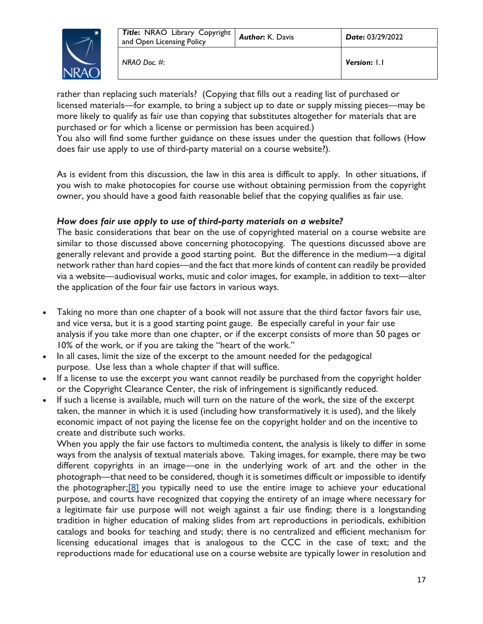

*NRAO Doc. #*: *Version***:** 1.1

rather than replacing such materials? (Copying that fills out a reading list of purchased or licensed materials—for example, to bring a subject up to date or supply missing pieces—may be more likely to qualify as fair use than copying that substitutes altogether for materials that are purchased or for which a license or permission has been acquired.)

You also will find some further guidance on these issues under the question that follows (How does fair use apply to use of third-party material on a course website?).

As is evident from this discussion, the law in this area is difficult to apply. In other situations, if you wish to make photocopies for course use without obtaining permission from the copyright owner, you should have a good faith reasonable belief that the copying qualifies as fair use.

### *How does fair use apply to use of third-party materials on a website?*

The basic considerations that bear on the use of copyrighted material on a course website are similar to those discussed above concerning photocopying. The questions discussed above are generally relevant and provide a good starting point. But the difference in the medium—a digital network rather than hard copies—and the fact that more kinds of content can readily be provided via a website—audiovisual works, music and color images, for example, in addition to text—alter the application of the four fair use factors in various ways.

- Taking no more than one chapter of a book will not assure that the third factor favors fair use, and vice versa, but it is a good starting point gauge. Be especially careful in your fair use analysis if you take more than one chapter, or if the excerpt consists of more than 50 pages or 10% of the work, or if you are taking the "heart of the work."
- In all cases, limit the size of the excerpt to the amount needed for the pedagogical purpose. Use less than a whole chapter if that will suffice.
- If a license to use the excerpt you want cannot readily be purchased from the copyright holder or the Copyright Clearance Center, the risk of infringement is significantly reduced.
- If such a license is available, much will turn on the nature of the work, the size of the excerpt taken, the manner in which it is used (including how transformatively it is used), and the likely economic impact of not paying the license fee on the copyright holder and on the incentive to create and distribute such works.

When you apply the fair use factors to multimedia content, the analysis is likely to differ in some ways from the analysis of textual materials above. Taking images, for example, there may be two different copyrights in an image—one in the underlying work of art and the other in the photograph—that need to be considered, though it is sometimes difficult or impossible to identify the photographer; $[8]$  you typically need to use the entire image to achieve your educational purpose, and courts have recognized that copying the entirety of an image where necessary for a legitimate fair use purpose will not weigh against a fair use finding; there is a longstanding tradition in higher education of making slides from art reproductions in periodicals, exhibition catalogs and books for teaching and study; there is no centralized and efficient mechanism for licensing educational images that is analogous to the CCC in the case of text; and the reproductions made for educational use on a course website are typically lower in resolution and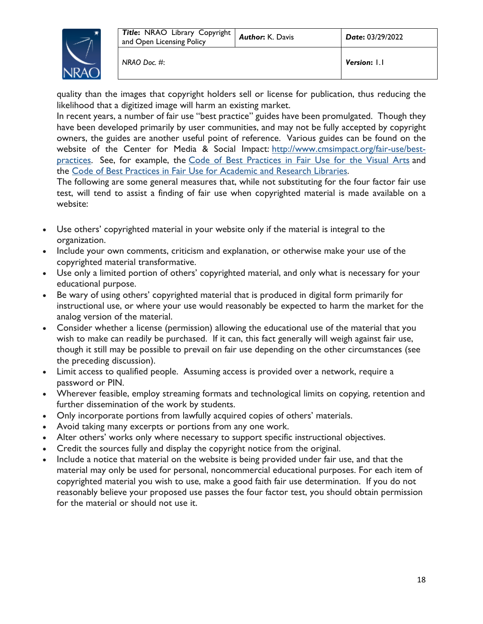

quality than the images that copyright holders sell or license for publication, thus reducing the likelihood that a digitized image will harm an existing market.

In recent years, a number of fair use "best practice" guides have been promulgated. Though they have been developed primarily by user communities, and may not be fully accepted by copyright owners, the guides are another useful point of reference. Various guides can be found on the website of the Center for Media & Social Impact: http://www.cmsimpact.org/fair-use/bestpractices. See, for example, the Code of Best Practices in Fair Use for the Visual Arts and the Code of Best Practices in Fair Use for Academic and Research Libraries.

The following are some general measures that, while not substituting for the four factor fair use test, will tend to assist a finding of fair use when copyrighted material is made available on a website:

- Use others' copyrighted material in your website only if the material is integral to the organization.
- Include your own comments, criticism and explanation, or otherwise make your use of the copyrighted material transformative.
- Use only a limited portion of others' copyrighted material, and only what is necessary for your educational purpose.
- Be wary of using others' copyrighted material that is produced in digital form primarily for instructional use, or where your use would reasonably be expected to harm the market for the analog version of the material.
- Consider whether a license (permission) allowing the educational use of the material that you wish to make can readily be purchased. If it can, this fact generally will weigh against fair use, though it still may be possible to prevail on fair use depending on the other circumstances (see the preceding discussion).
- Limit access to qualified people. Assuming access is provided over a network, require a password or PIN.
- Wherever feasible, employ streaming formats and technological limits on copying, retention and further dissemination of the work by students.
- Only incorporate portions from lawfully acquired copies of others' materials.
- Avoid taking many excerpts or portions from any one work.
- Alter others' works only where necessary to support specific instructional objectives.
- Credit the sources fully and display the copyright notice from the original.
- Include a notice that material on the website is being provided under fair use, and that the material may only be used for personal, noncommercial educational purposes. For each item of copyrighted material you wish to use, make a good faith fair use determination. If you do not reasonably believe your proposed use passes the four factor test, you should obtain permission for the material or should not use it.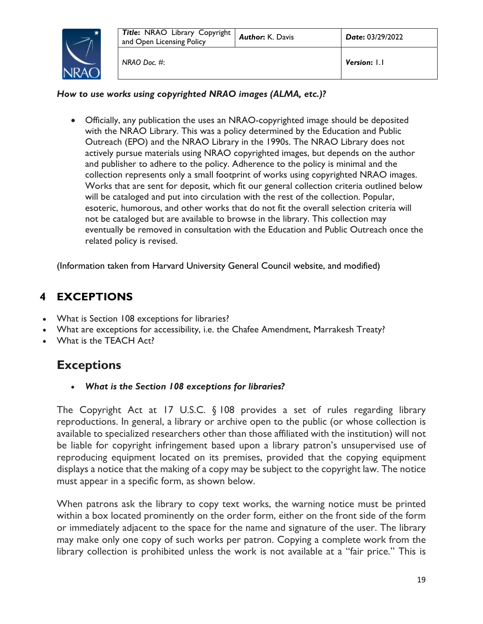

### *How to use works using copyrighted NRAO images (ALMA, etc.)?*

 Officially, any publication the uses an NRAO-copyrighted image should be deposited with the NRAO Library. This was a policy determined by the Education and Public Outreach (EPO) and the NRAO Library in the 1990s. The NRAO Library does not actively pursue materials using NRAO copyrighted images, but depends on the author and publisher to adhere to the policy. Adherence to the policy is minimal and the collection represents only a small footprint of works using copyrighted NRAO images. Works that are sent for deposit, which fit our general collection criteria outlined below will be cataloged and put into circulation with the rest of the collection. Popular, esoteric, humorous, and other works that do not fit the overall selection criteria will not be cataloged but are available to browse in the library. This collection may eventually be removed in consultation with the Education and Public Outreach once the related policy is revised.

(Information taken from Harvard University General Council website, and modified)

### **4 EXCEPTIONS**

- What is Section 108 exceptions for libraries?
- What are exceptions for accessibility, i.e. the Chafee Amendment, Marrakesh Treaty?
- What is the TEACH Act?

# **Exceptions**

*What is the Section 108 exceptions for libraries?* 

The Copyright Act at 17 U.S.C. § 108 provides a set of rules regarding library reproductions. In general, a library or archive open to the public (or whose collection is available to specialized researchers other than those affiliated with the institution) will not be liable for copyright infringement based upon a library patron's unsupervised use of reproducing equipment located on its premises, provided that the copying equipment displays a notice that the making of a copy may be subject to the copyright law. The notice must appear in a specific form, as shown below.

When patrons ask the library to copy text works, the warning notice must be printed within a box located prominently on the order form, either on the front side of the form or immediately adjacent to the space for the name and signature of the user. The library may make only one copy of such works per patron. Copying a complete work from the library collection is prohibited unless the work is not available at a "fair price." This is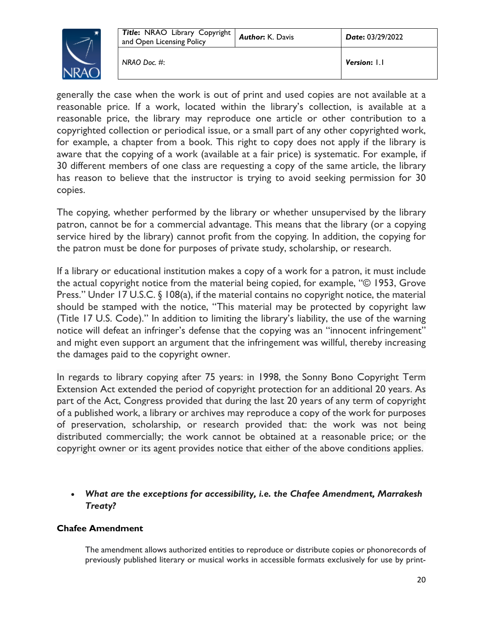

generally the case when the work is out of print and used copies are not available at a reasonable price. If a work, located within the library's collection, is available at a reasonable price, the library may reproduce one article or other contribution to a copyrighted collection or periodical issue, or a small part of any other copyrighted work, for example, a chapter from a book. This right to copy does not apply if the library is aware that the copying of a work (available at a fair price) is systematic. For example, if 30 different members of one class are requesting a copy of the same article, the library has reason to believe that the instructor is trying to avoid seeking permission for 30 copies.

The copying, whether performed by the library or whether unsupervised by the library patron, cannot be for a commercial advantage. This means that the library (or a copying service hired by the library) cannot profit from the copying. In addition, the copying for the patron must be done for purposes of private study, scholarship, or research.

If a library or educational institution makes a copy of a work for a patron, it must include the actual copyright notice from the material being copied, for example, "© 1953, Grove Press." Under 17 U.S.C. § 108(a), if the material contains no copyright notice, the material should be stamped with the notice, "This material may be protected by copyright law (Title 17 U.S. Code)." In addition to limiting the library's liability, the use of the warning notice will defeat an infringer's defense that the copying was an "innocent infringement" and might even support an argument that the infringement was willful, thereby increasing the damages paid to the copyright owner.

In regards to library copying after 75 years: in 1998, the Sonny Bono Copyright Term Extension Act extended the period of copyright protection for an additional 20 years. As part of the Act, Congress provided that during the last 20 years of any term of copyright of a published work, a library or archives may reproduce a copy of the work for purposes of preservation, scholarship, or research provided that: the work was not being distributed commercially; the work cannot be obtained at a reasonable price; or the copyright owner or its agent provides notice that either of the above conditions applies.

### *What are the exceptions for accessibility, i.e. the Chafee Amendment, Marrakesh Treaty?*

### **Chafee Amendment**

The amendment allows authorized entities to reproduce or distribute copies or phonorecords of previously published literary or musical works in accessible formats exclusively for use by print-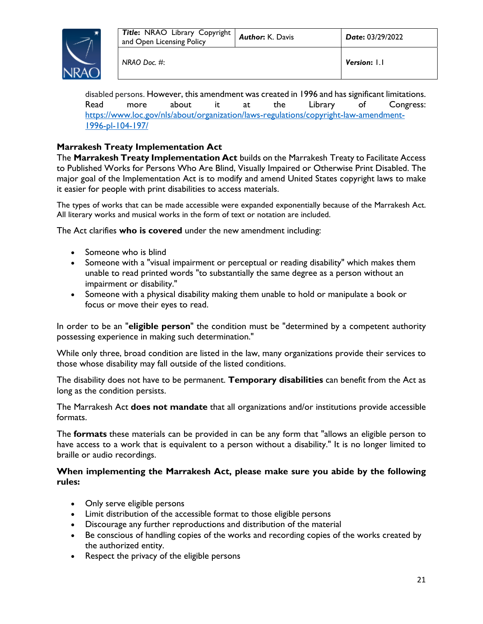

disabled persons. However, this amendment was created in 1996 and has significant limitations. Read more about it at the Library of Congress: https://www.loc.gov/nls/about/organization/laws-regulations/copyright-law-amendment-1996-pl-104-197/

### **Marrakesh Treaty Implementation Act**

The **Marrakesh Treaty Implementation Act** builds on the Marrakesh Treaty to Facilitate Access to Published Works for Persons Who Are Blind, Visually Impaired or Otherwise Print Disabled. The major goal of the Implementation Act is to modify and amend United States copyright laws to make it easier for people with print disabilities to access materials.

The types of works that can be made accessible were expanded exponentially because of the Marrakesh Act. All literary works and musical works in the form of text or notation are included.

The Act clarifies **who is covered** under the new amendment including:

- Someone who is blind
- Someone with a "visual impairment or perceptual or reading disability" which makes them unable to read printed words "to substantially the same degree as a person without an impairment or disability."
- Someone with a physical disability making them unable to hold or manipulate a book or focus or move their eyes to read.

In order to be an "**eligible person**" the condition must be "determined by a competent authority possessing experience in making such determination."

While only three, broad condition are listed in the law, many organizations provide their services to those whose disability may fall outside of the listed conditions.

The disability does not have to be permanent. **Temporary disabilities** can benefit from the Act as long as the condition persists.

The Marrakesh Act **does not mandate** that all organizations and/or institutions provide accessible formats.

The **formats** these materials can be provided in can be any form that "allows an eligible person to have access to a work that is equivalent to a person without a disability." It is no longer limited to braille or audio recordings.

### **When implementing the Marrakesh Act, please make sure you abide by the following rules:**

- Only serve eligible persons
- Limit distribution of the accessible format to those eligible persons
- Discourage any further reproductions and distribution of the material
- Be conscious of handling copies of the works and recording copies of the works created by the authorized entity.
- Respect the privacy of the eligible persons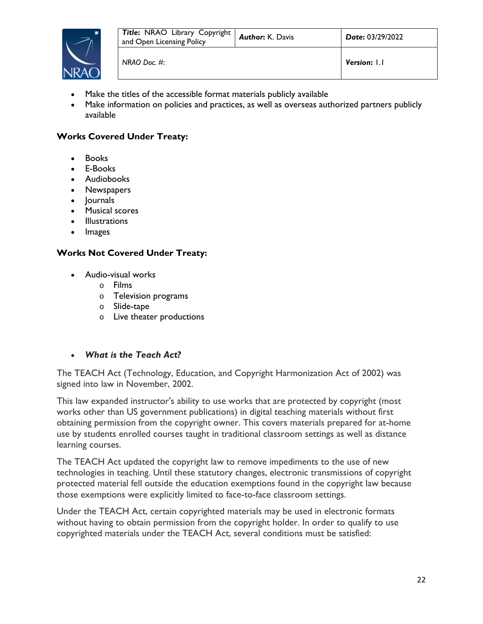

- Make the titles of the accessible format materials publicly available
- Make information on policies and practices, as well as overseas authorized partners publicly available

### **Works Covered Under Treaty:**

- Books
- E-Books
- Audiobooks
- Newspapers
- Journals
- Musical scores
- Illustrations
- Images

### **Works Not Covered Under Treaty:**

- Audio-visual works
	- o Films
	- o Television programs
	- o Slide-tape
	- o Live theater productions
- *What is the Teach Act?*

The TEACH Act (Technology, Education, and Copyright Harmonization Act of 2002) was signed into law in November, 2002.

This law expanded instructor's ability to use works that are protected by copyright (most works other than US government publications) in digital teaching materials without first obtaining permission from the copyright owner. This covers materials prepared for at-home use by students enrolled courses taught in traditional classroom settings as well as distance learning courses.

The TEACH Act updated the copyright law to remove impediments to the use of new technologies in teaching. Until these statutory changes, electronic transmissions of copyright protected material fell outside the education exemptions found in the copyright law because those exemptions were explicitly limited to face-to-face classroom settings.

Under the TEACH Act, certain copyrighted materials may be used in electronic formats without having to obtain permission from the copyright holder. In order to qualify to use copyrighted materials under the TEACH Act, several conditions must be satisfied: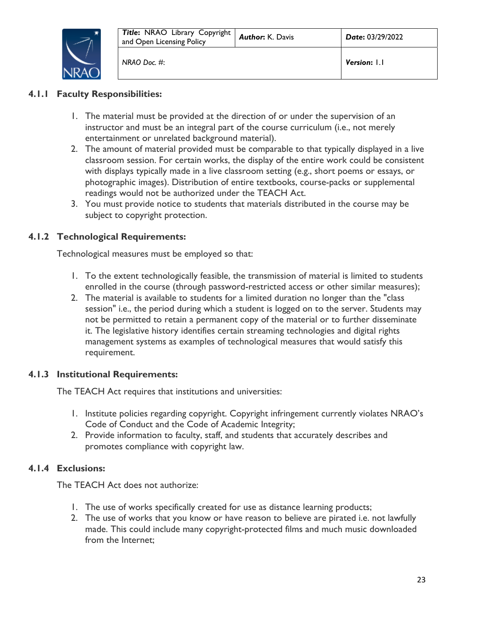

### **4.1.1 Faculty Responsibilities:**

- 1. The material must be provided at the direction of or under the supervision of an instructor and must be an integral part of the course curriculum (i.e., not merely entertainment or unrelated background material).
- 2. The amount of material provided must be comparable to that typically displayed in a live classroom session. For certain works, the display of the entire work could be consistent with displays typically made in a live classroom setting (e.g., short poems or essays, or photographic images). Distribution of entire textbooks, course-packs or supplemental readings would not be authorized under the TEACH Act.
- 3. You must provide notice to students that materials distributed in the course may be subject to copyright protection.

### **4.1.2 Technological Requirements:**

Technological measures must be employed so that:

- 1. To the extent technologically feasible, the transmission of material is limited to students enrolled in the course (through password-restricted access or other similar measures);
- 2. The material is available to students for a limited duration no longer than the "class session" i.e., the period during which a student is logged on to the server. Students may not be permitted to retain a permanent copy of the material or to further disseminate it. The legislative history identifies certain streaming technologies and digital rights management systems as examples of technological measures that would satisfy this requirement.

### **4.1.3 Institutional Requirements:**

The TEACH Act requires that institutions and universities:

- 1. Institute policies regarding copyright. Copyright infringement currently violates NRAO's Code of Conduct and the Code of Academic Integrity;
- 2. Provide information to faculty, staff, and students that accurately describes and promotes compliance with copyright law.

### **4.1.4 Exclusions:**

The TEACH Act does not authorize:

- 1. The use of works specifically created for use as distance learning products;
- 2. The use of works that you know or have reason to believe are pirated i.e. not lawfully made. This could include many copyright-protected films and much music downloaded from the Internet;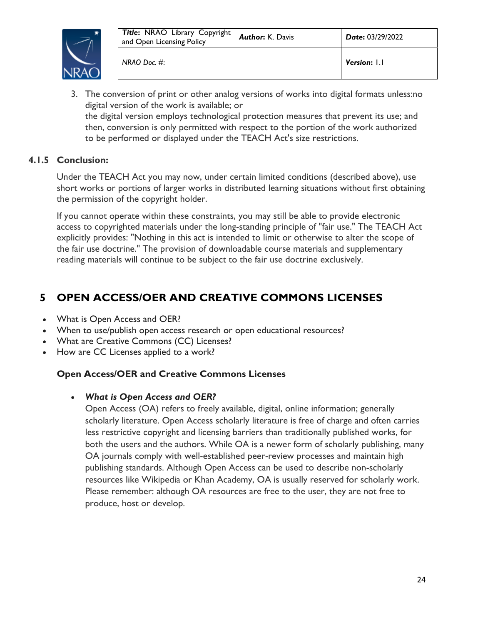

3. The conversion of print or other analog versions of works into digital formats unless:no digital version of the work is available; or the digital version employs technological protection measures that prevent its use; and then, conversion is only permitted with respect to the portion of the work authorized to be performed or displayed under the TEACH Act's size restrictions.

### **4.1.5 Conclusion:**

Under the TEACH Act you may now, under certain limited conditions (described above), use short works or portions of larger works in distributed learning situations without first obtaining the permission of the copyright holder.

If you cannot operate within these constraints, you may still be able to provide electronic access to copyrighted materials under the long-standing principle of "fair use." The TEACH Act explicitly provides: "Nothing in this act is intended to limit or otherwise to alter the scope of the fair use doctrine." The provision of downloadable course materials and supplementary reading materials will continue to be subject to the fair use doctrine exclusively.

# **5 OPEN ACCESS/OER AND CREATIVE COMMONS LICENSES**

- What is Open Access and OER?
- When to use/publish open access research or open educational resources?
- What are Creative Commons (CC) Licenses?
- How are CC Licenses applied to a work?

### **Open Access/OER and Creative Commons Licenses**

### *What is Open Access and OER?*

Open Access (OA) refers to freely available, digital, online information; generally scholarly literature. Open Access scholarly literature is free of charge and often carries less restrictive copyright and licensing barriers than traditionally published works, for both the users and the authors. While OA is a newer form of scholarly publishing, many OA journals comply with well-established peer-review processes and maintain high publishing standards. Although Open Access can be used to describe non-scholarly resources like Wikipedia or Khan Academy, OA is usually reserved for scholarly work. Please remember: although OA resources are free to the user, they are not free to produce, host or develop.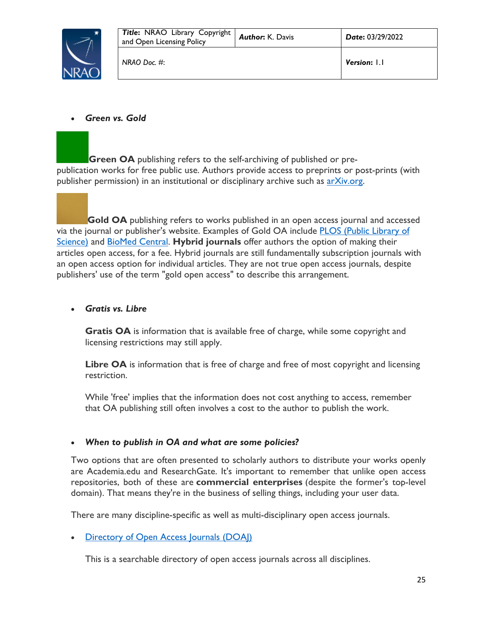

### *Green vs. Gold*

**Green OA** publishing refers to the self-archiving of published or prepublication works for free public use. Authors provide access to preprints or post-prints (with publisher permission) in an institutional or disciplinary archive such as  $arXiv.org$ .

**Gold OA** publishing refers to works published in an open access journal and accessed via the journal or publisher's website. Examples of Gold OA include PLOS (Public Library of Science) and BioMed Central. **Hybrid journals** offer authors the option of making their articles open access, for a fee. Hybrid journals are still fundamentally subscription journals with an open access option for individual articles. They are not true open access journals, despite publishers' use of the term "gold open access" to describe this arrangement.

### *Gratis vs. Libre*

**Gratis OA** is information that is available free of charge, while some copyright and licensing restrictions may still apply.

Libre OA is information that is free of charge and free of most copyright and licensing restriction.

While 'free' implies that the information does not cost anything to access, remember that OA publishing still often involves a cost to the author to publish the work.

### *When to publish in OA and what are some policies?*

Two options that are often presented to scholarly authors to distribute your works openly are Academia.edu and ResearchGate. It's important to remember that unlike open access repositories, both of these are **commercial enterprises** (despite the former's top-level domain). That means they're in the business of selling things, including your user data.

There are many discipline-specific as well as multi-disciplinary open access journals.

• Directory of Open Access Journals (DOAI)

This is a searchable directory of open access journals across all disciplines.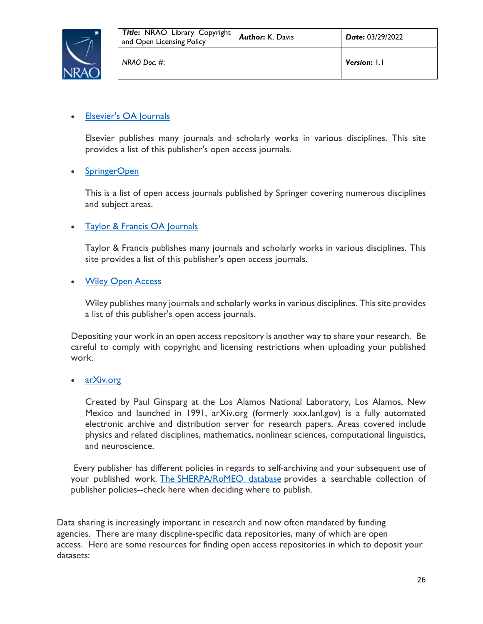

### • Elsevier's OA Journals

Elsevier publishes many journals and scholarly works in various disciplines. This site provides a list of this publisher's open access journals.

### • SpringerOpen

This is a list of open access journals published by Springer covering numerous disciplines and subject areas.

### • Taylor & Francis OA Journals

Taylor & Francis publishes many journals and scholarly works in various disciplines. This site provides a list of this publisher's open access journals.

### • Wiley Open Access

Wiley publishes many journals and scholarly works in various disciplines. This site provides a list of this publisher's open access journals.

Depositing your work in an open access repository is another way to share your research. Be careful to comply with copyright and licensing restrictions when uploading your published work.

### arXiv.org

Created by Paul Ginsparg at the Los Alamos National Laboratory, Los Alamos, New Mexico and launched in 1991, arXiv.org (formerly xxx.lanl.gov) is a fully automated electronic archive and distribution server for research papers. Areas covered include physics and related disciplines, mathematics, nonlinear sciences, computational linguistics, and neuroscience.

Every publisher has different policies in regards to self-archiving and your subsequent use of your published work. The SHERPA/RoMEO database provides a searchable collection of publisher policies--check here when deciding where to publish.

Data sharing is increasingly important in research and now often mandated by funding agencies. There are many discpline-specific data repositories, many of which are open access. Here are some resources for finding open access repositories in which to deposit your datasets: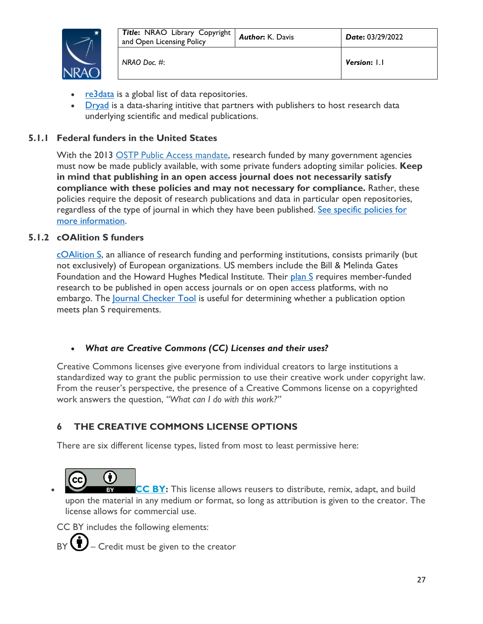

- re3data is a global list of data repositories.
- Dryad is a data-sharing intitive that partners with publishers to host research data underlying scientific and medical publications.

### **5.1.1 Federal funders in the United States**

With the 2013 OSTP Public Access mandate, research funded by many government agencies must now be made publicly available, with some private funders adopting similar policies. **Keep in mind that publishing in an open access journal does not necessarily satisfy compliance with these policies and may not necessary for compliance.** Rather, these policies require the deposit of research publications and data in particular open repositories, regardless of the type of journal in which they have been published. See specific policies for more information.

### **5.1.2 cOAlition S funders**

cOAlition S, an alliance of research funding and performing institutions, consists primarily (but not exclusively) of European organizations. US members include the Bill & Melinda Gates Foundation and the Howard Hughes Medical Institute. Their plan S requires member-funded research to be published in open access journals or on open access platforms, with no embargo. The <u>Journal Checker Tool</u> is useful for determining whether a publication option meets plan S requirements.

### *What are Creative Commons (CC) Licenses and their uses?*

Creative Commons licenses give everyone from individual creators to large institutions a standardized way to grant the public permission to use their creative work under copyright law. From the reuser's perspective, the presence of a Creative Commons license on a copyrighted work answers the question, *"What can I do with this work?"* 

### **6 THE CREATIVE COMMONS LICENSE OPTIONS**

There are six different license types, listed from most to least permissive here:

ĥ **CC BY:** This license allows reusers to distribute, remix, adapt, and build upon the material in any medium or format, so long as attribution is given to the creator. The license allows for commercial use.

CC BY includes the following elements:

 $BY$   $\bigcup$  – Credit must be given to the creator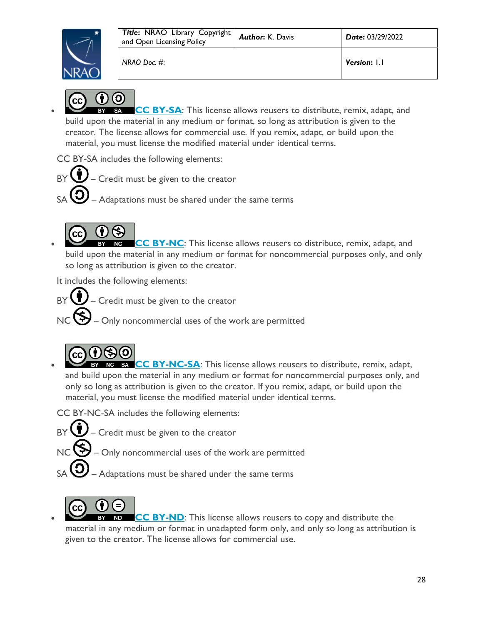

*NRAO Doc. #*: *Version***:** 1.1



 **CC BY-SA**: This license allows reusers to distribute, remix, adapt, and build upon the material in any medium or format, so long as attribution is given to the creator. The license allows for commercial use. If you remix, adapt, or build upon the material, you must license the modified material under identical terms.

CC BY-SA includes the following elements:

- $BY$  $\bigoplus$  Credit must be given to the creator
	- $-$  Adaptations must be shared under the same terms



 **CC BY-NC**: This license allows reusers to distribute, remix, adapt, and build upon the material in any medium or format for noncommercial purposes only, and only so long as attribution is given to the creator.

It includes the following elements:

 $\bullet$  – Credit must be given to the creator

- Only noncommercial uses of the work are permitted



 **CC BY-NC-SA**: This license allows reusers to distribute, remix, adapt, and build upon the material in any medium or format for noncommercial purposes only, and only so long as attribution is given to the creator. If you remix, adapt, or build upon the material, you must license the modified material under identical terms.

CC BY-NC-SA includes the following elements:

- $\bigcup$  Credit must be given to the creator
	- $\mathcal{Y}_{\mathsf{C}}$  Only noncommercial uses of the work are permitted
- $-$  Adaptations must be shared under the same terms



 **CC BY-ND**: This license allows reusers to copy and distribute the material in any medium or format in unadapted form only, and only so long as attribution is given to the creator. The license allows for commercial use.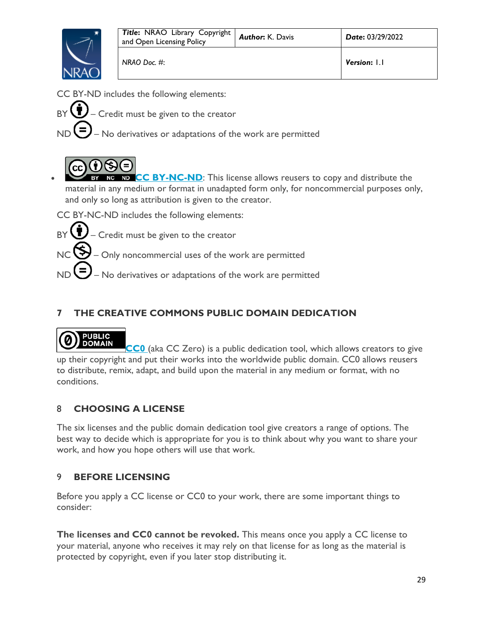

CC BY-ND includes the following elements:

 $BY$   $\bigoplus$  – Credit must be given to the creator

ND  $\bigcup$  – No derivatives or adaptations of the work are permitted



**CC BY-NC-ND:** This license allows reusers to copy and distribute the material in any medium or format in unadapted form only, for noncommercial purposes only, and only so long as attribution is given to the creator.

CC BY-NC-ND includes the following elements:

 $BY \bigcup$  – Credit must be given to the creator

 $NC$   $\bigotimes$  – Only noncommercial uses of the work are permitted

ND  $\bigcup$  – No derivatives or adaptations of the work are permitted

# **7 THE CREATIVE COMMONS PUBLIC DOMAIN DEDICATION**

### **PUBLIC DOMAIN**

**CC0** (aka CC Zero) is a public dedication tool, which allows creators to give up their copyright and put their works into the worldwide public domain. CC0 allows reusers to distribute, remix, adapt, and build upon the material in any medium or format, with no conditions.

# 8 **CHOOSING A LICENSE**

The six licenses and the public domain dedication tool give creators a range of options. The best way to decide which is appropriate for you is to think about why you want to share your work, and how you hope others will use that work.

### 9 **BEFORE LICENSING**

Before you apply a CC license or CC0 to your work, there are some important things to consider:

**The licenses and CC0 cannot be revoked.** This means once you apply a CC license to your material, anyone who receives it may rely on that license for as long as the material is protected by copyright, even if you later stop distributing it.